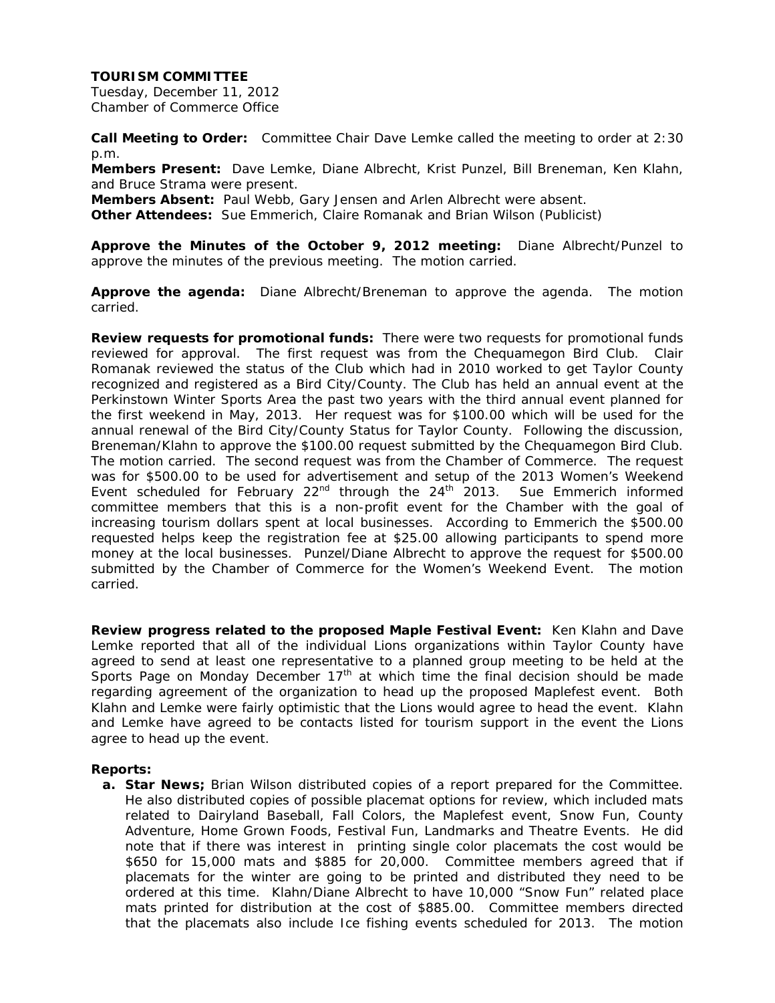Tuesday, December 11, 2012 Chamber of Commerce Office

**Call Meeting to Order:** Committee Chair Dave Lemke called the meeting to order at 2:30 p.m.

**Members Present:** Dave Lemke, Diane Albrecht, Krist Punzel, Bill Breneman, Ken Klahn, and Bruce Strama were present.

**Members Absent:** Paul Webb, Gary Jensen and Arlen Albrecht were absent.

**Other Attendees:** Sue Emmerich, Claire Romanak and Brian Wilson (Publicist)

**Approve the Minutes of the October 9, 2012 meeting:** Diane Albrecht/Punzel to approve the minutes of the previous meeting. The motion carried.

**Approve the agenda:** Diane Albrecht/Breneman to approve the agenda. The motion carried.

**Review requests for promotional funds:** There were two requests for promotional funds reviewed for approval. The first request was from the Chequamegon Bird Club. Clair Romanak reviewed the status of the Club which had in 2010 worked to get Taylor County recognized and registered as a Bird City/County. The Club has held an annual event at the Perkinstown Winter Sports Area the past two years with the third annual event planned for the first weekend in May, 2013. Her request was for \$100.00 which will be used for the annual renewal of the Bird City/County Status for Taylor County. Following the discussion, Breneman/Klahn to approve the \$100.00 request submitted by the Chequamegon Bird Club. The motion carried. The second request was from the Chamber of Commerce. The request was for \$500.00 to be used for advertisement and setup of the 2013 Women's Weekend Event scheduled for February  $22^{nd}$  through the  $24^{th}$  2013. Sue Emmerich informed committee members that this is a non-profit event for the Chamber with the goal of increasing tourism dollars spent at local businesses. According to Emmerich the \$500.00 requested helps keep the registration fee at \$25.00 allowing participants to spend more money at the local businesses. Punzel/Diane Albrecht to approve the request for \$500.00 submitted by the Chamber of Commerce for the Women's Weekend Event. The motion carried.

**Review progress related to the proposed Maple Festival Event:** Ken Klahn and Dave Lemke reported that all of the individual Lions organizations within Taylor County have agreed to send at least one representative to a planned group meeting to be held at the Sports Page on Monday December  $17<sup>th</sup>$  at which time the final decision should be made regarding agreement of the organization to head up the proposed Maplefest event. Both Klahn and Lemke were fairly optimistic that the Lions would agree to head the event. Klahn and Lemke have agreed to be contacts listed for tourism support in the event the Lions agree to head up the event.

#### **Reports:**

**a. Star News;** Brian Wilson distributed copies of a report prepared for the Committee. He also distributed copies of possible placemat options for review, which included mats related to Dairyland Baseball, Fall Colors, the Maplefest event, Snow Fun, County Adventure, Home Grown Foods, Festival Fun, Landmarks and Theatre Events. He did note that if there was interest in printing single color placemats the cost would be \$650 for 15,000 mats and \$885 for 20,000. Committee members agreed that if placemats for the winter are going to be printed and distributed they need to be ordered at this time. Klahn/Diane Albrecht to have 10,000 "Snow Fun" related place mats printed for distribution at the cost of \$885.00. Committee members directed that the placemats also include Ice fishing events scheduled for 2013. The motion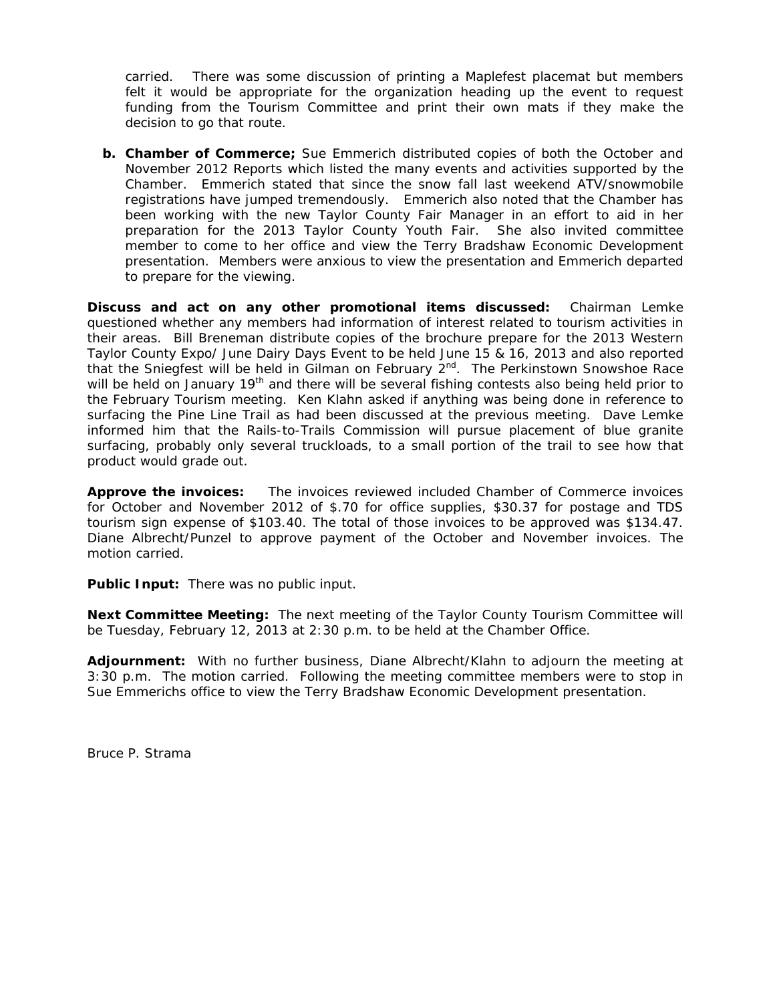carried. There was some discussion of printing a Maplefest placemat but members felt it would be appropriate for the organization heading up the event to request funding from the Tourism Committee and print their own mats if they make the decision to go that route.

**b. Chamber of Commerce;** Sue Emmerich distributed copies of both the October and November 2012 Reports which listed the many events and activities supported by the Chamber. Emmerich stated that since the snow fall last weekend ATV/snowmobile registrations have jumped tremendously. Emmerich also noted that the Chamber has been working with the new Taylor County Fair Manager in an effort to aid in her preparation for the 2013 Taylor County Youth Fair. She also invited committee member to come to her office and view the Terry Bradshaw Economic Development presentation. Members were anxious to view the presentation and Emmerich departed to prepare for the viewing.

**Discuss and act on any other promotional items discussed:** Chairman Lemke questioned whether any members had information of interest related to tourism activities in their areas. Bill Breneman distribute copies of the brochure prepare for the 2013 Western Taylor County Expo/ June Dairy Days Event to be held June 15 & 16, 2013 and also reported that the Sniegfest will be held in Gilman on February 2<sup>nd</sup>. The Perkinstown Snowshoe Race will be held on January 19<sup>th</sup> and there will be several fishing contests also being held prior to the February Tourism meeting. Ken Klahn asked if anything was being done in reference to surfacing the Pine Line Trail as had been discussed at the previous meeting. Dave Lemke informed him that the Rails-to-Trails Commission will pursue placement of blue granite surfacing, probably only several truckloads, to a small portion of the trail to see how that product would grade out.

**Approve the invoices:** The invoices reviewed included Chamber of Commerce invoices for October and November 2012 of \$.70 for office supplies, \$30.37 for postage and TDS tourism sign expense of \$103.40. The total of those invoices to be approved was \$134.47. Diane Albrecht/Punzel to approve payment of the October and November invoices. The motion carried.

**Public Input:** There was no public input.

**Next Committee Meeting:** The next meeting of the Taylor County Tourism Committee will be Tuesday, February 12, 2013 at 2:30 p.m. to be held at the Chamber Office.

**Adjournment:** With no further business, Diane Albrecht/Klahn to adjourn the meeting at 3:30 p.m. The motion carried. Following the meeting committee members were to stop in Sue Emmerichs office to view the Terry Bradshaw Economic Development presentation.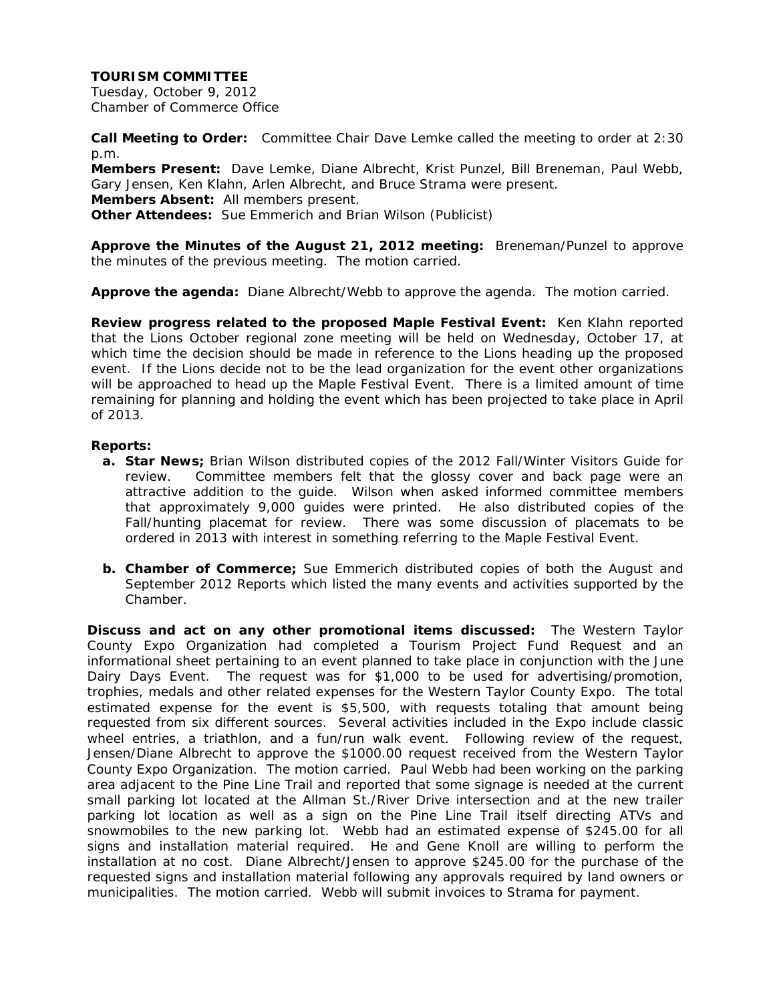Tuesday, October 9, 2012 Chamber of Commerce Office

**Call Meeting to Order:** Committee Chair Dave Lemke called the meeting to order at 2:30 p.m.

**Members Present:** Dave Lemke, Diane Albrecht, Krist Punzel, Bill Breneman, Paul Webb, Gary Jensen, Ken Klahn, Arlen Albrecht, and Bruce Strama were present. **Members Absent:** All members present. **Other Attendees:** Sue Emmerich and Brian Wilson (Publicist)

**Approve the Minutes of the August 21, 2012 meeting:** Breneman/Punzel to approve the minutes of the previous meeting. The motion carried.

**Approve the agenda:** Diane Albrecht/Webb to approve the agenda. The motion carried.

**Review progress related to the proposed Maple Festival Event:** Ken Klahn reported that the Lions October regional zone meeting will be held on Wednesday, October 17, at which time the decision should be made in reference to the Lions heading up the proposed event. If the Lions decide not to be the lead organization for the event other organizations will be approached to head up the Maple Festival Event. There is a limited amount of time remaining for planning and holding the event which has been projected to take place in April of 2013.

## **Reports:**

- **a. Star News;** Brian Wilson distributed copies of the 2012 Fall/Winter Visitors Guide for review. Committee members felt that the glossy cover and back page were an attractive addition to the guide. Wilson when asked informed committee members that approximately 9,000 guides were printed. He also distributed copies of the Fall/hunting placemat for review. There was some discussion of placemats to be ordered in 2013 with interest in something referring to the Maple Festival Event.
- **b. Chamber of Commerce;** Sue Emmerich distributed copies of both the August and September 2012 Reports which listed the many events and activities supported by the Chamber.

**Discuss and act on any other promotional items discussed:** The Western Taylor County Expo Organization had completed a Tourism Project Fund Request and an informational sheet pertaining to an event planned to take place in conjunction with the June Dairy Days Event. The request was for \$1,000 to be used for advertising/promotion, trophies, medals and other related expenses for the Western Taylor County Expo. The total estimated expense for the event is \$5,500, with requests totaling that amount being requested from six different sources. Several activities included in the Expo include classic wheel entries, a triathlon, and a fun/run walk event. Following review of the request, Jensen/Diane Albrecht to approve the \$1000.00 request received from the Western Taylor County Expo Organization. The motion carried. Paul Webb had been working on the parking area adjacent to the Pine Line Trail and reported that some signage is needed at the current small parking lot located at the Allman St./River Drive intersection and at the new trailer parking lot location as well as a sign on the Pine Line Trail itself directing ATVs and snowmobiles to the new parking lot. Webb had an estimated expense of \$245.00 for all signs and installation material required. He and Gene Knoll are willing to perform the installation at no cost. Diane Albrecht/Jensen to approve \$245.00 for the purchase of the requested signs and installation material following any approvals required by land owners or municipalities. The motion carried. Webb will submit invoices to Strama for payment.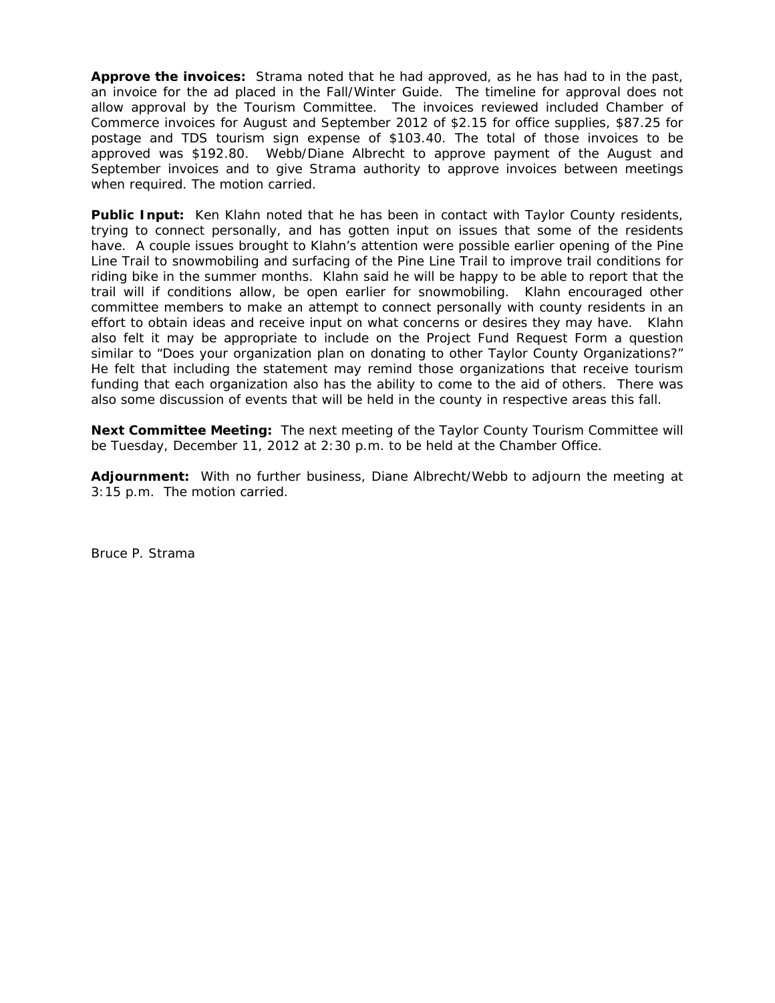**Approve the invoices:** Strama noted that he had approved, as he has had to in the past, an invoice for the ad placed in the Fall/Winter Guide. The timeline for approval does not allow approval by the Tourism Committee. The invoices reviewed included Chamber of Commerce invoices for August and September 2012 of \$2.15 for office supplies, \$87.25 for postage and TDS tourism sign expense of \$103.40. The total of those invoices to be approved was \$192.80. Webb/Diane Albrecht to approve payment of the August and September invoices and to give Strama authority to approve invoices between meetings when required. The motion carried.

**Public Input:** Ken Klahn noted that he has been in contact with Taylor County residents, trying to connect personally, and has gotten input on issues that some of the residents have. A couple issues brought to Klahn's attention were possible earlier opening of the Pine Line Trail to snowmobiling and surfacing of the Pine Line Trail to improve trail conditions for riding bike in the summer months. Klahn said he will be happy to be able to report that the trail will if conditions allow, be open earlier for snowmobiling. Klahn encouraged other committee members to make an attempt to connect personally with county residents in an effort to obtain ideas and receive input on what concerns or desires they may have. Klahn also felt it may be appropriate to include on the Project Fund Request Form a question similar to "Does your organization plan on donating to other Taylor County Organizations?" He felt that including the statement may remind those organizations that receive tourism funding that each organization also has the ability to come to the aid of others. There was also some discussion of events that will be held in the county in respective areas this fall.

**Next Committee Meeting:** The next meeting of the Taylor County Tourism Committee will be Tuesday, December 11, 2012 at 2:30 p.m. to be held at the Chamber Office.

**Adjournment:** With no further business, Diane Albrecht/Webb to adjourn the meeting at 3:15 p.m. The motion carried.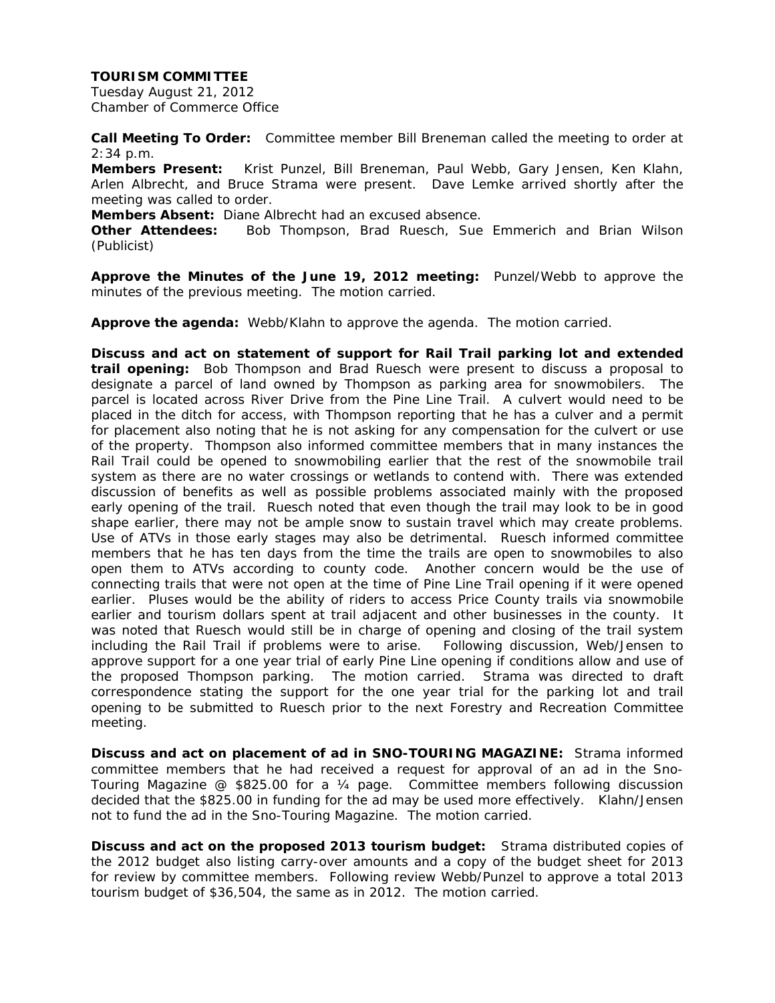Tuesday August 21, 2012 Chamber of Commerce Office

**Call Meeting To Order:** Committee member Bill Breneman called the meeting to order at 2:34 p.m.

**Members Present:** Krist Punzel, Bill Breneman, Paul Webb, Gary Jensen, Ken Klahn, Arlen Albrecht, and Bruce Strama were present. Dave Lemke arrived shortly after the meeting was called to order.

**Members Absent:** Diane Albrecht had an excused absence.

**Other Attendees:** Bob Thompson, Brad Ruesch, Sue Emmerich and Brian Wilson (Publicist)

**Approve the Minutes of the June 19, 2012 meeting:** Punzel/Webb to approve the minutes of the previous meeting. The motion carried.

**Approve the agenda:** Webb/Klahn to approve the agenda. The motion carried.

**Discuss and act on statement of support for Rail Trail parking lot and extended trail opening:** Bob Thompson and Brad Ruesch were present to discuss a proposal to designate a parcel of land owned by Thompson as parking area for snowmobilers. The parcel is located across River Drive from the Pine Line Trail. A culvert would need to be placed in the ditch for access, with Thompson reporting that he has a culver and a permit for placement also noting that he is not asking for any compensation for the culvert or use of the property. Thompson also informed committee members that in many instances the Rail Trail could be opened to snowmobiling earlier that the rest of the snowmobile trail system as there are no water crossings or wetlands to contend with. There was extended discussion of benefits as well as possible problems associated mainly with the proposed early opening of the trail. Ruesch noted that even though the trail may look to be in good shape earlier, there may not be ample snow to sustain travel which may create problems. Use of ATVs in those early stages may also be detrimental. Ruesch informed committee members that he has ten days from the time the trails are open to snowmobiles to also open them to ATVs according to county code. Another concern would be the use of connecting trails that were not open at the time of Pine Line Trail opening if it were opened earlier. Pluses would be the ability of riders to access Price County trails via snowmobile earlier and tourism dollars spent at trail adjacent and other businesses in the county. It was noted that Ruesch would still be in charge of opening and closing of the trail system including the Rail Trail if problems were to arise. Following discussion, Web/Jensen to approve support for a one year trial of early Pine Line opening if conditions allow and use of the proposed Thompson parking. The motion carried. Strama was directed to draft correspondence stating the support for the one year trial for the parking lot and trail opening to be submitted to Ruesch prior to the next Forestry and Recreation Committee meeting.

**Discuss and act on placement of ad in SNO-TOURING MAGAZINE:** Strama informed committee members that he had received a request for approval of an ad in the Sno-Touring Magazine @ \$825.00 for a ¼ page. Committee members following discussion decided that the \$825.00 in funding for the ad may be used more effectively. Klahn/Jensen not to fund the ad in the Sno-Touring Magazine. The motion carried.

**Discuss and act on the proposed 2013 tourism budget:** Strama distributed copies of the 2012 budget also listing carry-over amounts and a copy of the budget sheet for 2013 for review by committee members. Following review Webb/Punzel to approve a total 2013 tourism budget of \$36,504, the same as in 2012.The motion carried.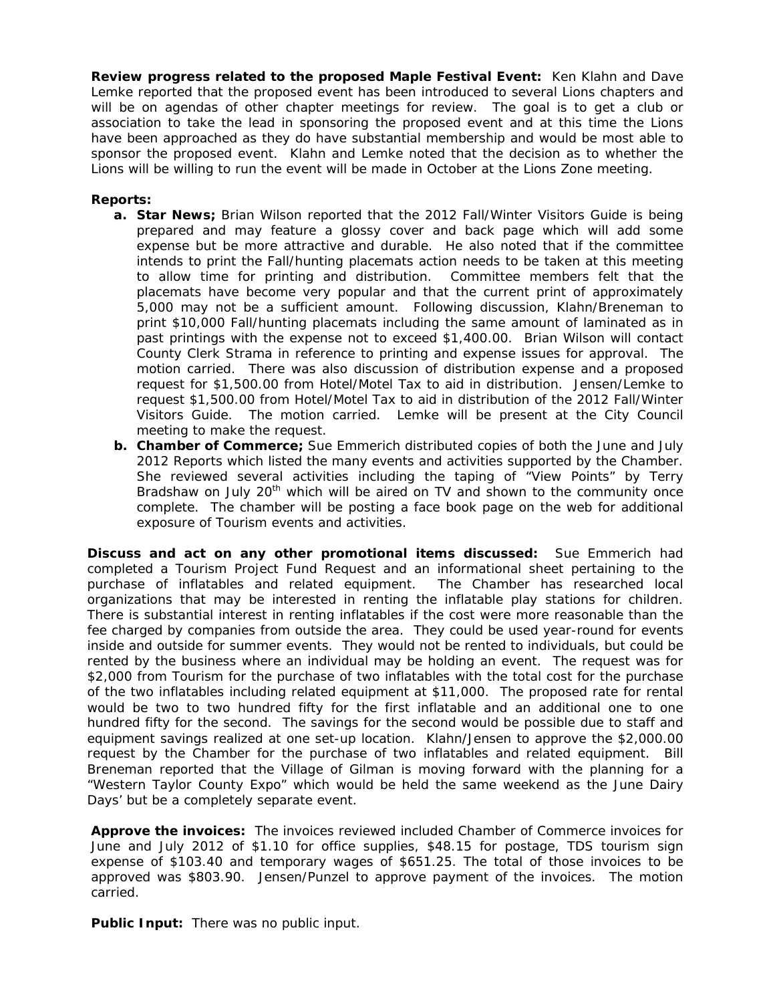**Review progress related to the proposed Maple Festival Event:** Ken Klahn and Dave Lemke reported that the proposed event has been introduced to several Lions chapters and will be on agendas of other chapter meetings for review. The goal is to get a club or association to take the lead in sponsoring the proposed event and at this time the Lions have been approached as they do have substantial membership and would be most able to sponsor the proposed event. Klahn and Lemke noted that the decision as to whether the Lions will be willing to run the event will be made in October at the Lions Zone meeting.

# **Reports:**

- **a. Star News;** Brian Wilson reported that the 2012 Fall/Winter Visitors Guide is being prepared and may feature a glossy cover and back page which will add some expense but be more attractive and durable. He also noted that if the committee intends to print the Fall/hunting placemats action needs to be taken at this meeting to allow time for printing and distribution. Committee members felt that the placemats have become very popular and that the current print of approximately 5,000 may not be a sufficient amount. Following discussion, Klahn/Breneman to print \$10,000 Fall/hunting placemats including the same amount of laminated as in past printings with the expense not to exceed \$1,400.00. Brian Wilson will contact County Clerk Strama in reference to printing and expense issues for approval. The motion carried. There was also discussion of distribution expense and a proposed request for \$1,500.00 from Hotel/Motel Tax to aid in distribution. Jensen/Lemke to request \$1,500.00 from Hotel/Motel Tax to aid in distribution of the 2012 Fall/Winter Visitors Guide. The motion carried. Lemke will be present at the City Council meeting to make the request.
- **b. Chamber of Commerce;** Sue Emmerich distributed copies of both the June and July 2012 Reports which listed the many events and activities supported by the Chamber. She reviewed several activities including the taping of "View Points" by Terry Bradshaw on July 20<sup>th</sup> which will be aired on TV and shown to the community once complete. The chamber will be posting a face book page on the web for additional exposure of Tourism events and activities.

**Discuss and act on any other promotional items discussed:** Sue Emmerich had completed a Tourism Project Fund Request and an informational sheet pertaining to the purchase of inflatables and related equipment. The Chamber has researched local organizations that may be interested in renting the inflatable play stations for children. There is substantial interest in renting inflatables if the cost were more reasonable than the fee charged by companies from outside the area. They could be used year-round for events inside and outside for summer events. They would not be rented to individuals, but could be rented by the business where an individual may be holding an event. The request was for \$2,000 from Tourism for the purchase of two inflatables with the total cost for the purchase of the two inflatables including related equipment at \$11,000. The proposed rate for rental would be two to two hundred fifty for the first inflatable and an additional one to one hundred fifty for the second. The savings for the second would be possible due to staff and equipment savings realized at one set-up location. Klahn/Jensen to approve the \$2,000.00 request by the Chamber for the purchase of two inflatables and related equipment. Bill Breneman reported that the Village of Gilman is moving forward with the planning for a "Western Taylor County Expo" which would be held the same weekend as the June Dairy Days' but be a completely separate event.

**Approve the invoices:** The invoices reviewed included Chamber of Commerce invoices for June and July 2012 of \$1.10 for office supplies, \$48.15 for postage, TDS tourism sign expense of \$103.40 and temporary wages of \$651.25. The total of those invoices to be approved was \$803.90. Jensen/Punzel to approve payment of the invoices. The motion carried.

**Public Input:** There was no public input.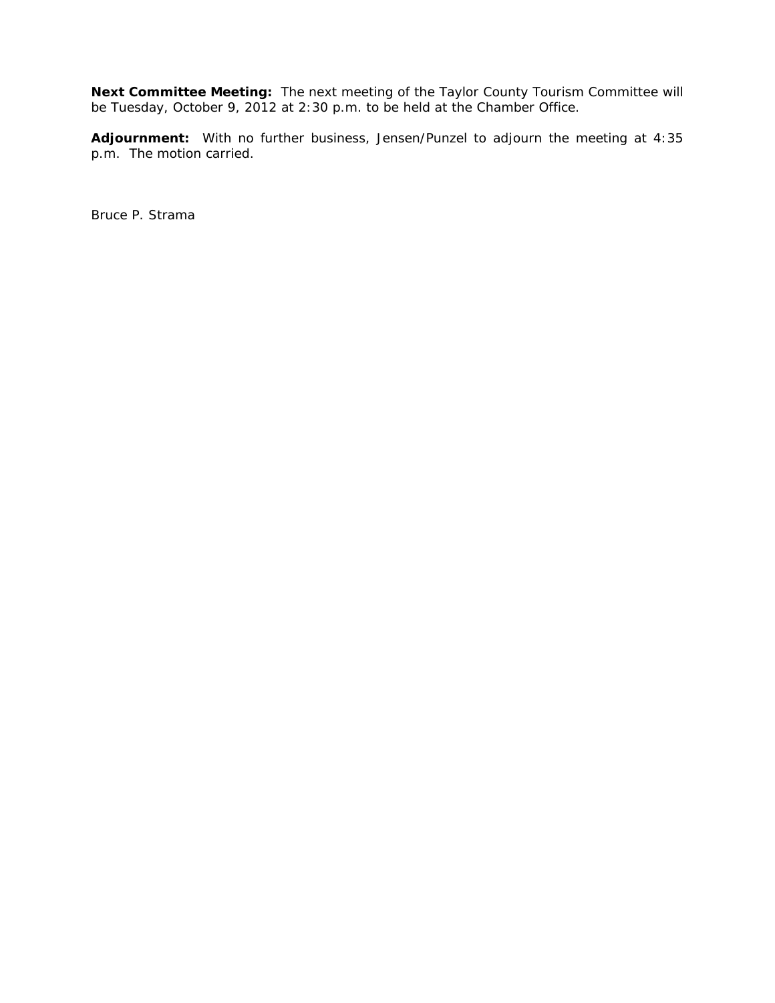**Next Committee Meeting:** The next meeting of the Taylor County Tourism Committee will be Tuesday, October 9, 2012 at 2:30 p.m. to be held at the Chamber Office.

**Adjournment:** With no further business, Jensen/Punzel to adjourn the meeting at 4:35 p.m. The motion carried.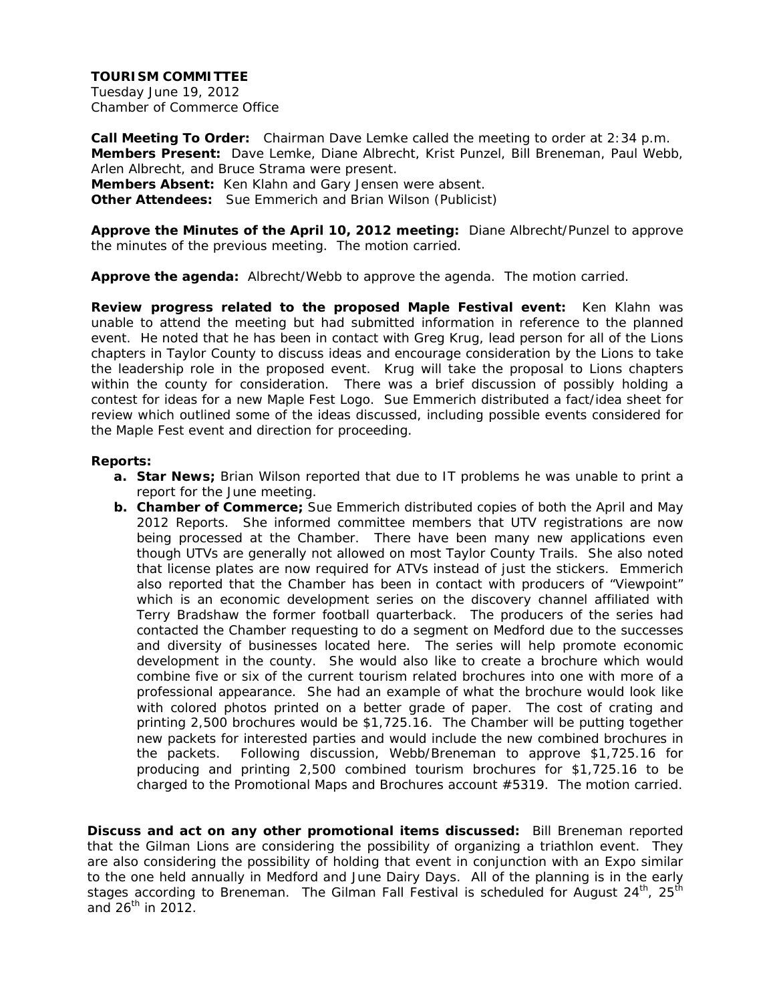Tuesday June 19, 2012 Chamber of Commerce Office

**Call Meeting To Order:** Chairman Dave Lemke called the meeting to order at 2:34 p.m. **Members Present:** Dave Lemke, Diane Albrecht, Krist Punzel, Bill Breneman, Paul Webb, Arlen Albrecht, and Bruce Strama were present. **Members Absent:** Ken Klahn and Gary Jensen were absent. **Other Attendees:** Sue Emmerich and Brian Wilson (Publicist)

**Approve the Minutes of the April 10, 2012 meeting:** Diane Albrecht/Punzel to approve the minutes of the previous meeting. The motion carried.

**Approve the agenda:** Albrecht/Webb to approve the agenda. The motion carried.

**Review progress related to the proposed Maple Festival event:** Ken Klahn was unable to attend the meeting but had submitted information in reference to the planned event. He noted that he has been in contact with Greg Krug, lead person for all of the Lions chapters in Taylor County to discuss ideas and encourage consideration by the Lions to take the leadership role in the proposed event. Krug will take the proposal to Lions chapters within the county for consideration. There was a brief discussion of possibly holding a contest for ideas for a new Maple Fest Logo. Sue Emmerich distributed a fact/idea sheet for review which outlined some of the ideas discussed, including possible events considered for the Maple Fest event and direction for proceeding.

#### **Reports:**

- **a. Star News;** Brian Wilson reported that due to IT problems he was unable to print a report for the June meeting.
- **b. Chamber of Commerce;** Sue Emmerich distributed copies of both the April and May 2012 Reports. She informed committee members that UTV registrations are now being processed at the Chamber. There have been many new applications even though UTVs are generally not allowed on most Taylor County Trails. She also noted that license plates are now required for ATVs instead of just the stickers. Emmerich also reported that the Chamber has been in contact with producers of "Viewpoint" which is an economic development series on the discovery channel affiliated with Terry Bradshaw the former football quarterback. The producers of the series had contacted the Chamber requesting to do a segment on Medford due to the successes and diversity of businesses located here. The series will help promote economic development in the county. She would also like to create a brochure which would combine five or six of the current tourism related brochures into one with more of a professional appearance. She had an example of what the brochure would look like with colored photos printed on a better grade of paper. The cost of crating and printing 2,500 brochures would be \$1,725.16. The Chamber will be putting together new packets for interested parties and would include the new combined brochures in the packets. Following discussion, Webb/Breneman to approve \$1,725.16 for producing and printing 2,500 combined tourism brochures for \$1,725.16 to be charged to the Promotional Maps and Brochures account #5319. The motion carried.

**Discuss and act on any other promotional items discussed:** Bill Breneman reported that the Gilman Lions are considering the possibility of organizing a triathlon event. They are also considering the possibility of holding that event in conjunction with an Expo similar to the one held annually in Medford and June Dairy Days. All of the planning is in the early stages according to Breneman. The Gilman Fall Festival is scheduled for August 24<sup>th</sup>, 25<sup>th</sup> and  $26^{th}$  in 2012.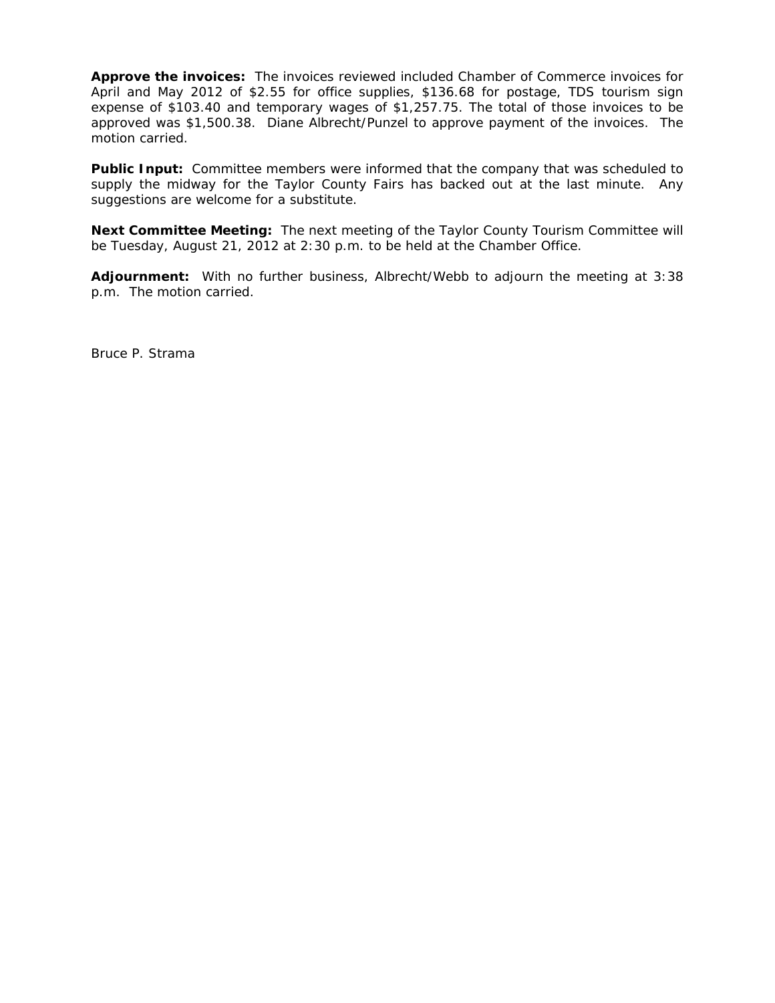**Approve the invoices:** The invoices reviewed included Chamber of Commerce invoices for April and May 2012 of \$2.55 for office supplies, \$136.68 for postage, TDS tourism sign expense of \$103.40 and temporary wages of \$1,257.75. The total of those invoices to be approved was \$1,500.38. Diane Albrecht/Punzel to approve payment of the invoices. The motion carried.

**Public Input:** Committee members were informed that the company that was scheduled to supply the midway for the Taylor County Fairs has backed out at the last minute. Any suggestions are welcome for a substitute.

**Next Committee Meeting:** The next meeting of the Taylor County Tourism Committee will be Tuesday, August 21, 2012 at 2:30 p.m. to be held at the Chamber Office.

**Adjournment:** With no further business, Albrecht/Webb to adjourn the meeting at 3:38 p.m. The motion carried.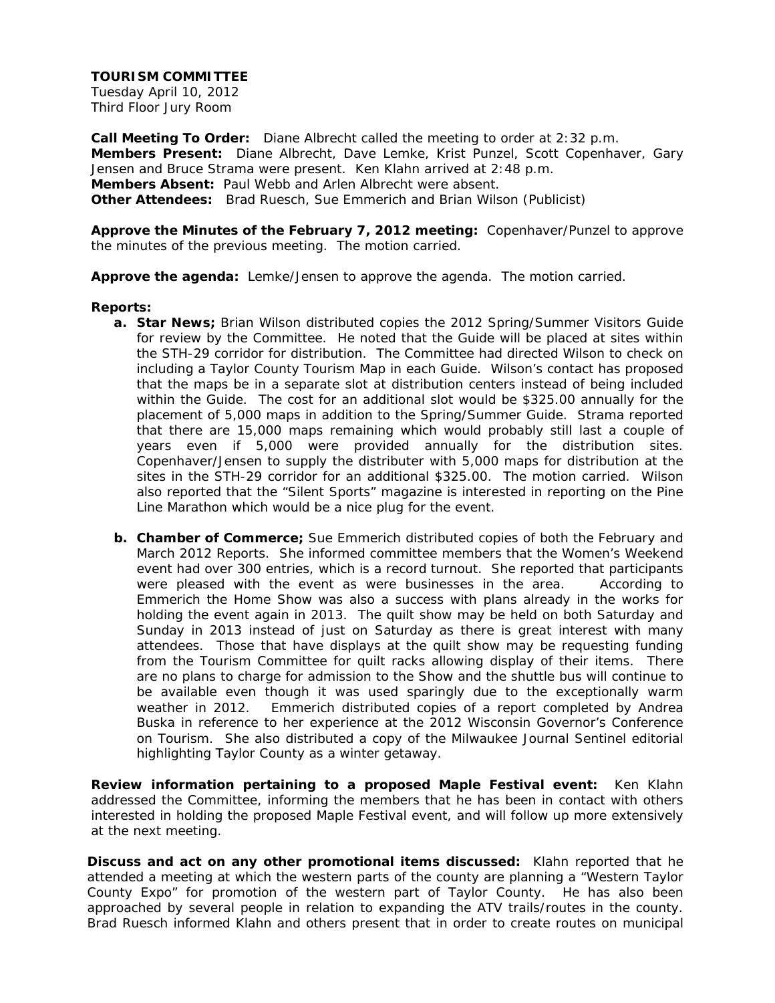Tuesday April 10, 2012 Third Floor Jury Room

**Call Meeting To Order:** Diane Albrecht called the meeting to order at 2:32 p.m. **Members Present:** Diane Albrecht, Dave Lemke, Krist Punzel, Scott Copenhaver, Gary Jensen and Bruce Strama were present. Ken Klahn arrived at 2:48 p.m. **Members Absent:** Paul Webb and Arlen Albrecht were absent. **Other Attendees:** Brad Ruesch, Sue Emmerich and Brian Wilson (Publicist)

**Approve the Minutes of the February 7, 2012 meeting:** Copenhaver/Punzel to approve the minutes of the previous meeting. The motion carried.

**Approve the agenda:** Lemke/Jensen to approve the agenda. The motion carried.

#### **Reports:**

- **a. Star News;** Brian Wilson distributed copies the 2012 Spring/Summer Visitors Guide for review by the Committee. He noted that the Guide will be placed at sites within the STH-29 corridor for distribution. The Committee had directed Wilson to check on including a Taylor County Tourism Map in each Guide. Wilson's contact has proposed that the maps be in a separate slot at distribution centers instead of being included within the Guide. The cost for an additional slot would be \$325.00 annually for the placement of 5,000 maps in addition to the Spring/Summer Guide. Strama reported that there are 15,000 maps remaining which would probably still last a couple of years even if 5,000 were provided annually for the distribution sites. Copenhaver/Jensen to supply the distributer with 5,000 maps for distribution at the sites in the STH-29 corridor for an additional \$325.00. The motion carried. Wilson also reported that the "Silent Sports" magazine is interested in reporting on the Pine Line Marathon which would be a nice plug for the event.
- **b. Chamber of Commerce;** Sue Emmerich distributed copies of both the February and March 2012 Reports. She informed committee members that the Women's Weekend event had over 300 entries, which is a record turnout. She reported that participants were pleased with the event as were businesses in the area. According to Emmerich the Home Show was also a success with plans already in the works for holding the event again in 2013. The quilt show may be held on both Saturday and Sunday in 2013 instead of just on Saturday as there is great interest with many attendees. Those that have displays at the quilt show may be requesting funding from the Tourism Committee for quilt racks allowing display of their items. There are no plans to charge for admission to the Show and the shuttle bus will continue to be available even though it was used sparingly due to the exceptionally warm weather in 2012. Emmerich distributed copies of a report completed by Andrea Buska in reference to her experience at the 2012 Wisconsin Governor's Conference on Tourism. She also distributed a copy of the Milwaukee Journal Sentinel editorial highlighting Taylor County as a winter getaway.

**Review information pertaining to a proposed Maple Festival event:** Ken Klahn addressed the Committee, informing the members that he has been in contact with others interested in holding the proposed Maple Festival event, and will follow up more extensively at the next meeting.

**Discuss and act on any other promotional items discussed:** Klahn reported that he attended a meeting at which the western parts of the county are planning a "Western Taylor County Expo" for promotion of the western part of Taylor County. He has also been approached by several people in relation to expanding the ATV trails/routes in the county. Brad Ruesch informed Klahn and others present that in order to create routes on municipal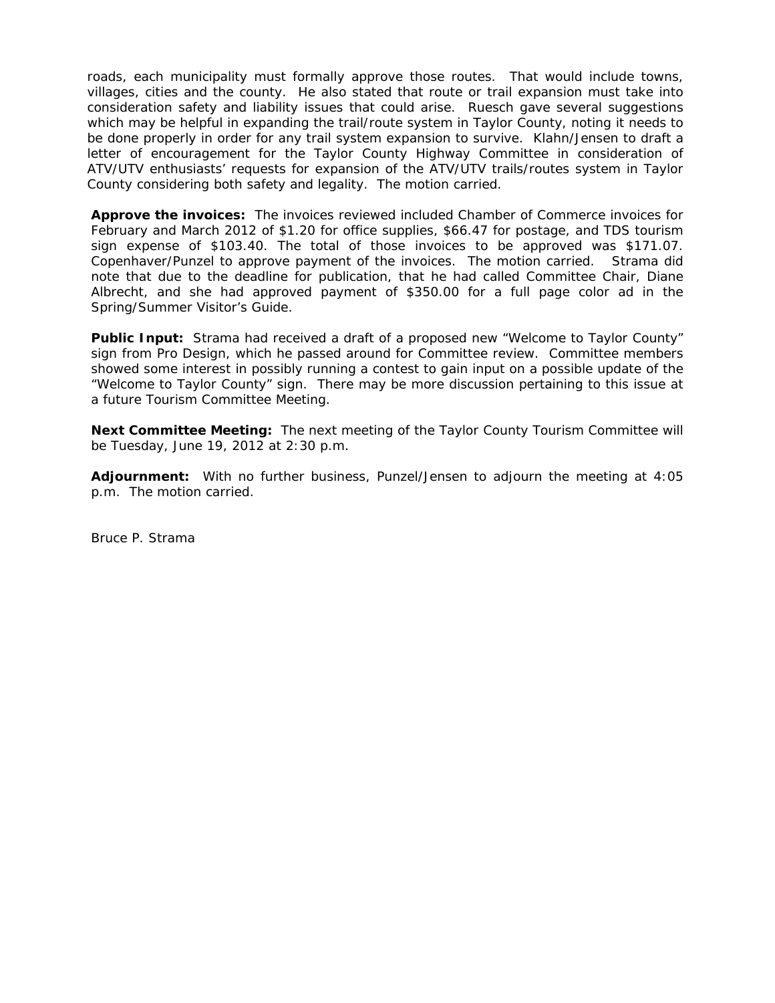roads, each municipality must formally approve those routes. That would include towns, villages, cities and the county. He also stated that route or trail expansion must take into consideration safety and liability issues that could arise. Ruesch gave several suggestions which may be helpful in expanding the trail/route system in Taylor County, noting it needs to be done properly in order for any trail system expansion to survive. Klahn/Jensen to draft a letter of encouragement for the Taylor County Highway Committee in consideration of ATV/UTV enthusiasts' requests for expansion of the ATV/UTV trails/routes system in Taylor County considering both safety and legality. The motion carried.

**Approve the invoices:** The invoices reviewed included Chamber of Commerce invoices for February and March 2012 of \$1.20 for office supplies, \$66.47 for postage, and TDS tourism sign expense of \$103.40. The total of those invoices to be approved was \$171.07. Copenhaver/Punzel to approve payment of the invoices. The motion carried. Strama did note that due to the deadline for publication, that he had called Committee Chair, Diane Albrecht, and she had approved payment of \$350.00 for a full page color ad in the Spring/Summer Visitor's Guide.

Public Input: Strama had received a draft of a proposed new "Welcome to Taylor County" sign from Pro Design, which he passed around for Committee review. Committee members showed some interest in possibly running a contest to gain input on a possible update of the "Welcome to Taylor County" sign. There may be more discussion pertaining to this issue at a future Tourism Committee Meeting.

**Next Committee Meeting:** The next meeting of the Taylor County Tourism Committee will be Tuesday, June 19, 2012 at 2:30 p.m.

**Adjournment:** With no further business, Punzel/Jensen to adjourn the meeting at 4:05 p.m. The motion carried.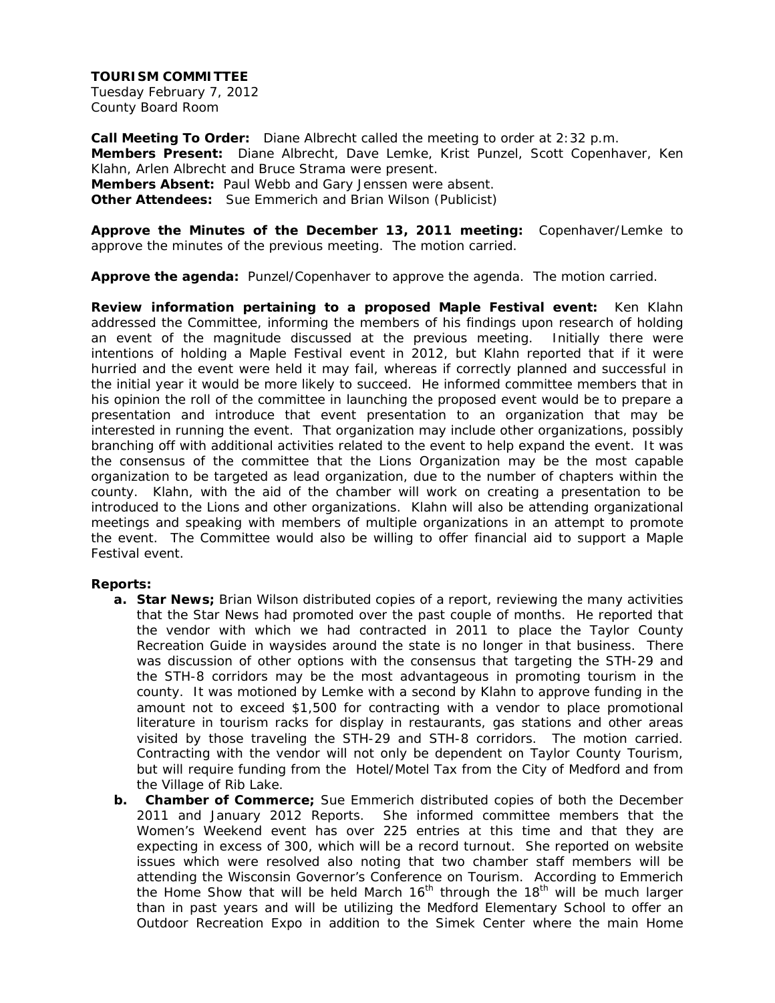Tuesday February 7, 2012 County Board Room

**Call Meeting To Order:** Diane Albrecht called the meeting to order at 2:32 p.m. **Members Present:** Diane Albrecht, Dave Lemke, Krist Punzel, Scott Copenhaver, Ken Klahn, Arlen Albrecht and Bruce Strama were present. **Members Absent:** Paul Webb and Gary Jenssen were absent. **Other Attendees:** Sue Emmerich and Brian Wilson (Publicist)

**Approve the Minutes of the December 13, 2011 meeting:** Copenhaver/Lemke to approve the minutes of the previous meeting. The motion carried.

**Approve the agenda:** Punzel/Copenhaver to approve the agenda. The motion carried.

**Review information pertaining to a proposed Maple Festival event:** Ken Klahn addressed the Committee, informing the members of his findings upon research of holding an event of the magnitude discussed at the previous meeting. Initially there were intentions of holding a Maple Festival event in 2012, but Klahn reported that if it were hurried and the event were held it may fail, whereas if correctly planned and successful in the initial year it would be more likely to succeed. He informed committee members that in his opinion the roll of the committee in launching the proposed event would be to prepare a presentation and introduce that event presentation to an organization that may be interested in running the event. That organization may include other organizations, possibly branching off with additional activities related to the event to help expand the event. It was the consensus of the committee that the Lions Organization may be the most capable organization to be targeted as lead organization, due to the number of chapters within the county. Klahn, with the aid of the chamber will work on creating a presentation to be introduced to the Lions and other organizations. Klahn will also be attending organizational meetings and speaking with members of multiple organizations in an attempt to promote the event. The Committee would also be willing to offer financial aid to support a Maple Festival event.

#### **Reports:**

- **a. Star News;** Brian Wilson distributed copies of a report, reviewing the many activities that the Star News had promoted over the past couple of months. He reported that the vendor with which we had contracted in 2011 to place the Taylor County Recreation Guide in waysides around the state is no longer in that business. There was discussion of other options with the consensus that targeting the STH-29 and the STH-8 corridors may be the most advantageous in promoting tourism in the county. It was motioned by Lemke with a second by Klahn to approve funding in the amount not to exceed \$1,500 for contracting with a vendor to place promotional literature in tourism racks for display in restaurants, gas stations and other areas visited by those traveling the STH-29 and STH-8 corridors. The motion carried. Contracting with the vendor will not only be dependent on Taylor County Tourism, but will require funding from the Hotel/Motel Tax from the City of Medford and from the Village of Rib Lake.
- **b. Chamber of Commerce;** Sue Emmerich distributed copies of both the December 2011 and January 2012 Reports. She informed committee members that the Women's Weekend event has over 225 entries at this time and that they are expecting in excess of 300, which will be a record turnout. She reported on website issues which were resolved also noting that two chamber staff members will be attending the Wisconsin Governor's Conference on Tourism. According to Emmerich the Home Show that will be held March  $16<sup>th</sup>$  through the  $18<sup>th</sup>$  will be much larger than in past years and will be utilizing the Medford Elementary School to offer an Outdoor Recreation Expo in addition to the Simek Center where the main Home